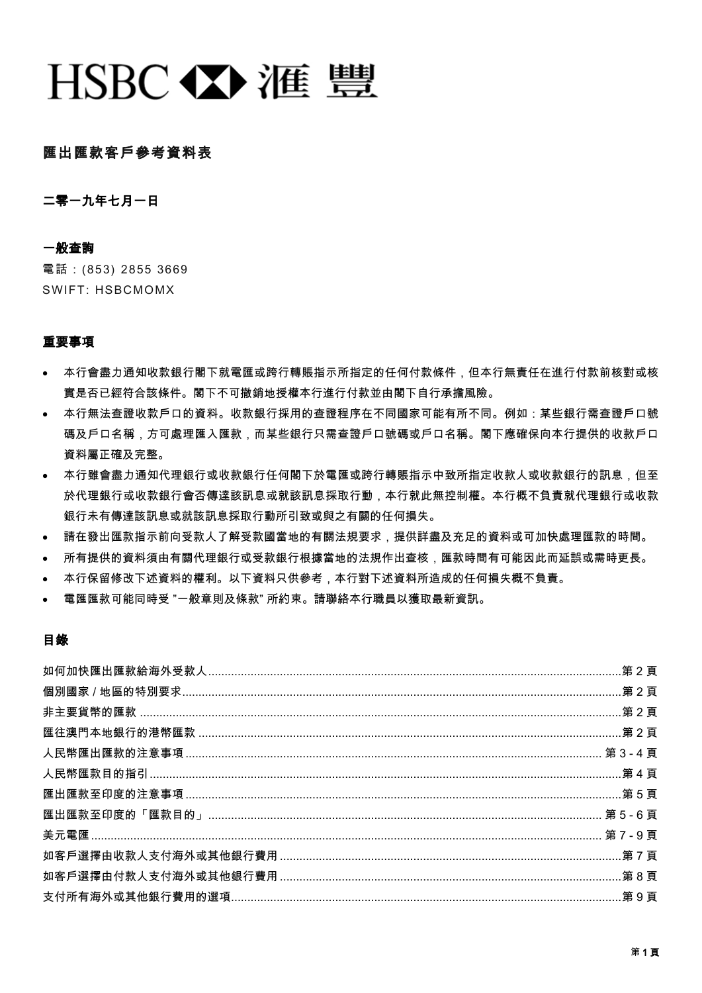# HSBC < Y> 滙 豐

## 匯出匯款客戶參考資料表

二零一九年七月一日

#### 一般查詢

電話:(853) 2855 3669 SWIFT: HSBCMOMX

#### 重要事項

- 本行會盡力通知收款銀行閣下就電匯或跨行轉賬指示所指定的任何付款條件,但本行無責任在進行付款前核對或核 實是否已經符合該條件。閣下不可撤銷地授權本行進行付款並由閣下自行承擔風險。
- 本行無法查證收款戶口的資料。收款銀行採用的查證程序在不同國家可能有所不同。例如:某些銀行需查證戶口號 碼及戶口名稱,方可處理匯入匯款,而某些銀行只需查證戶口號碼或戶口名稱。閣下應確保向本行提供的收款戶口 資料屬正確及完整。
- 本行雖會盡力通知代理銀行或收款銀行任何閣下於電匯或跨行轉賬指示中致所指定收款人或收款銀行的訊息,但至 於代理銀行或收款銀行會否傳達該訊息或就該訊息採取行動,本行就此無控制權。本行概不負責就代理銀行或收款 銀行未有傳達該訊息或就該訊息採取行動所引致或與之有關的任何損失。
- 請在發出匯款指示前向受款人了解受款國當地的有關法規要求,提供詳盡及充足的資料或可加快處理匯款的時間。
- 所有提供的資料須由有關代理銀行或受款銀行根據當地的法規作出查核,匯款時間有可能因此而延誤或需時更長。
- 本行保留修改下述資料的權利。以下資料只供參考,本行對下述資料所造成的任何損失概不負責。
- 電匯匯款可能同時受 "一般章則及條款" 所約束。請聯絡本行職員以獲取最新資訊。

## 目錄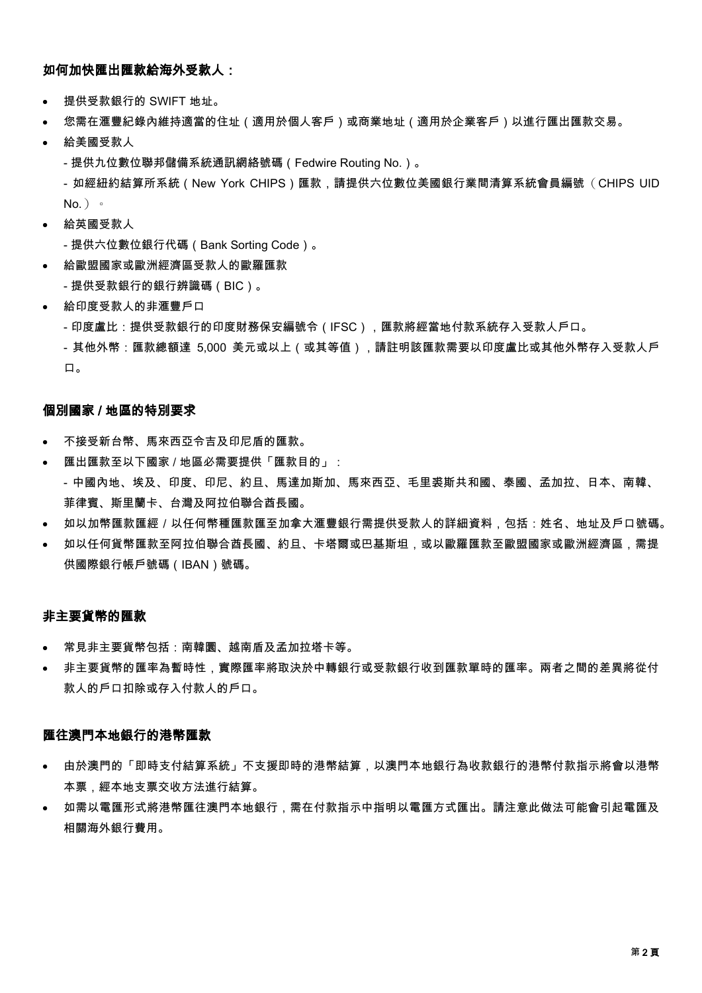#### 如何加快匯出匯款給海外受款人:

- 提供受款銀行的 SWIFT 地址。
- 您需在滙豐紀錄內維持適當的住址(適用於個人客戶)或商業地址(適用於企業客戶)以進行匯出匯款交易。
- 給美國受款人

- 提供九位數位聯邦儲備系統通訊網絡號碼(Fedwire Routing No.)。

- 如經紐約結算所系統(New York CHIPS)匯款,請提供六位數位美國銀行業間清算系統會員編號(CHIPS UID  $No.$ )  $\circ$ 

- 給英國受款人
- 提供六位數位銀行代碼(Bank Sorting Code)。
- 給歐盟國家或歐洲經濟區受款人的歐羅匯款
- 提供受款銀行的銀行辨識碼(BIC)。
- 給印度受款人的非滙豐戶口
	- 印度盧比:提供受款銀行的印度財務保安編號令(IFSC),匯款將經當地付款系統存入受款人戶口。

- 其他外幣:匯款總額達 5,000 美元或以上(或其等值),請註明該匯款需要以印度盧比或其他外幣存入受款人戶 口。

#### 個別國家 / 地區的特別要求

- 不接受新台幣、馬來西亞令吉及印尼盾的匯款。
- 匯出匯款至以下國家 / 地區必需要提供「匯款目的」: - 中國內地、埃及、印度、印尼、約旦、馬達加斯加、馬來西亞、毛里裘斯共和國、泰國、孟加拉、日本、南韓、 菲律賓、斯里蘭卡、台灣及阿拉伯聯合酋長國。
- 如以加幣匯款匯經/以任何幣種匯款匯至加拿大滙豐銀行需提供受款人的詳細資料,包括:姓名、地址及戶口號碼。
- 如以任何貨幣匯款至阿拉伯聯合酋長國、約旦、卡塔爾或巴基斯坦,或以歐羅匯款至歐盟國家或歐洲經濟區,需提 供國際銀行帳戶號碼(IBAN)號碼。

#### 非主要貨幣的匯款

- 常見非主要貨幣包括:南韓圜、越南盾及孟加拉塔卡等。
- 非主要貨幣的匯率為暫時性,實際匯率將取決於中轉銀行或受款銀行收到匯款單時的匯率。兩者之間的差異將從付 款人的戶口扣除或存入付款人的戶口。

#### 匯往澳門本地銀行的港幣匯款

- 由於澳門的「即時支付結算系統」不支援即時的港幣結算,以澳門本地銀行為收款銀行的港幣付款指示將會以港幣 本票,經本地支票交收方法進行結算。
- 如需以電匯形式將港幣匯往澳門本地銀行,需在付款指示中指明以電匯方式匯出。請注意此做法可能會引起電匯及 相關海外銀行費用。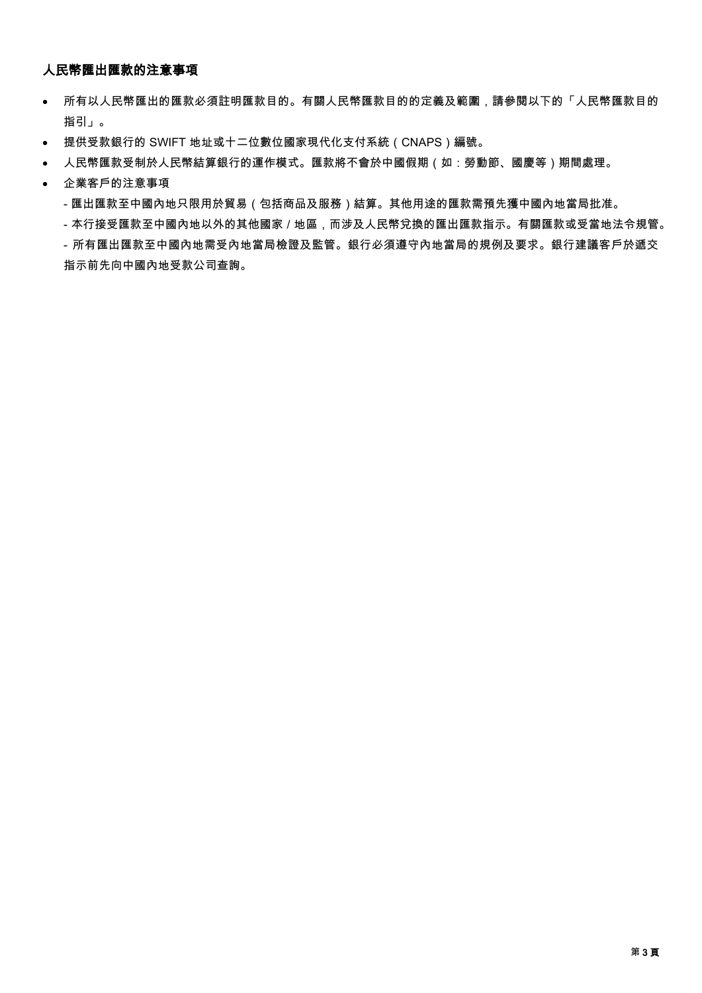# 人民幣匯出匯款的注意事項

- 所有以人民幣匯出的匯款必須註明匯款目的。有關人民幣匯款目的的定義及範圍,請參閱以下的「人民幣匯款目的 指引」。
- 提供受款銀行的 SWIFT 地址或十二位數位國家現代化支付系統(CNAPS)編號。
- 人民幣匯款受制於人民幣結算銀行的運作模式。匯款將不會於中國假期(如:勞動節、國慶等)期間處理。

#### 企業客戶的注意事項

- 匯出匯款至中國內地只限用於貿易(包括商品及服務)結算。其他用途的匯款需預先獲中國內地當局批准。

- 本行接受匯款至中國內地以外的其他國家 / 地區,而涉及人民幣兌換的匯出匯款指示。有關匯款或受當地法令規管。

- 所有匯出匯款至中國內地需受內地當局檢證及監管。銀行必須遵守內地當局的規例及要求。銀行建議客戶於遞交 指示前先向中國內地受款公司查詢。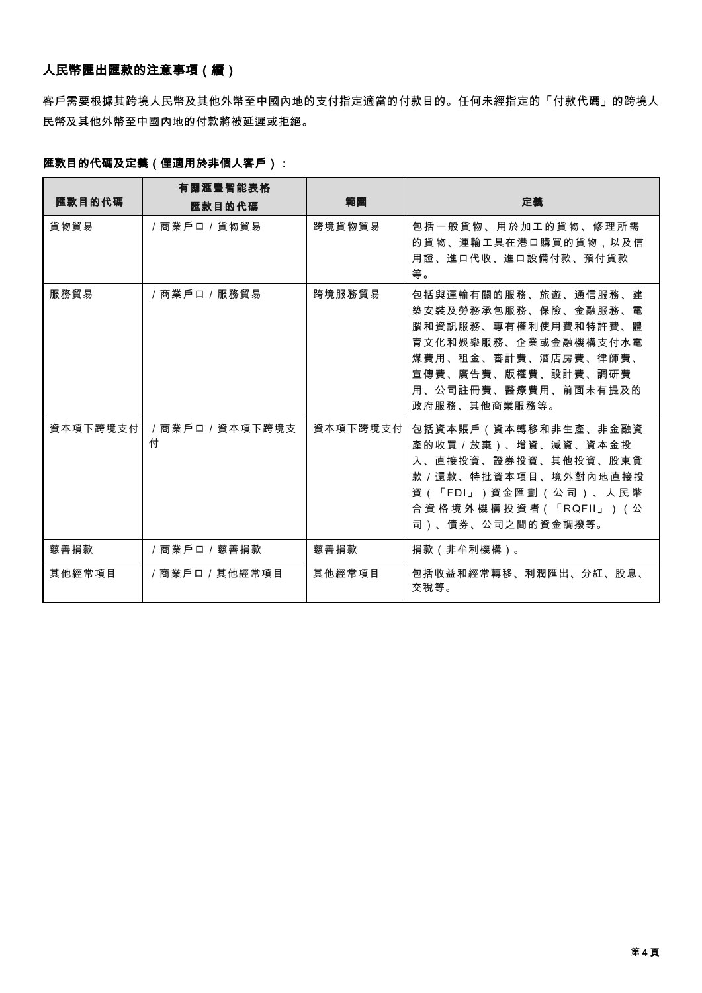# 人民幣匯出匯款的注意事項(續)

客戶需要根據其跨境人民幣及其他外幣至中國內地的支付指定適當的付款目的。任何未經指定的「付款代碼」的跨境人 民幣及其他外幣至中國內地的付款將被延遲或拒絕。

# 匯款目的代碼及定義(僅適用於非個人客戶):

|          | 有關滙豐智能表格           |          |                                                                                                                                                                                                         |
|----------|--------------------|----------|---------------------------------------------------------------------------------------------------------------------------------------------------------------------------------------------------------|
| 匯款目的代碼   | 匯款目的代碼             | 範圍       | 定義                                                                                                                                                                                                      |
| 貨物貿易     | /商業戶口 / 貨物貿易       | 跨境貨物貿易   | 包括一般貨物、用於加工的貨物、修理所需<br>的貨物、運輸工具在港口購買的貨物,以及信<br>用證、進口代收、進口設備付款、預付貨款<br>等。                                                                                                                                |
| 服務貿易     | /商業戶口/服務貿易         | 跨境服務貿易   | 包括與運輸有關的服務、旅游、通信服務、建<br>築安裝及勞務承包服務、保險、金融服務、電<br>腦和資訊服務、專有權利使用費和特許費、體<br>育 文 化 和 娛 樂 服 務 、 企 業 或 金 融 機 構 支 付 水 電<br>煤費用、租金、審計費、酒店房費、律師費、<br>宣傳費、廣告費、版權費、設計費、調研費<br>用、公司註冊費、醫療費用、前面未有提及的<br>政府服務、其他商業服務等。 |
| 資本項下跨境支付 | /商業戶口/資本項下跨境支<br>付 | 資本項下跨境支付 | 包括資本賬戶(資本轉移和非生產、非金融資<br>產的收買 / 放棄)、增資、減資、資本金投<br>入、直接投資、證券投資、其他投資、股東貸<br>款 / 還款、特批資本項目、境外對內地直接投<br>資(「FDI」)資金匯劃(公司)、人民幣<br>合 資 格 境 外 機 構 投 資 者 ( 「 RQFII 」 ) ( 公<br>司)、債券、公司之間的資金調撥等。                   |
| 慈善捐款     | /商業戶口 / 慈善捐款       | 慈善捐款     | 捐款 (非牟利機構)。                                                                                                                                                                                             |
| 其他經常項目   | /商業戶口/其他經常項目       | 其他經常項目   | 包括收益和經常轉移、利潤匯出、分紅、股息、<br>交稅等。                                                                                                                                                                           |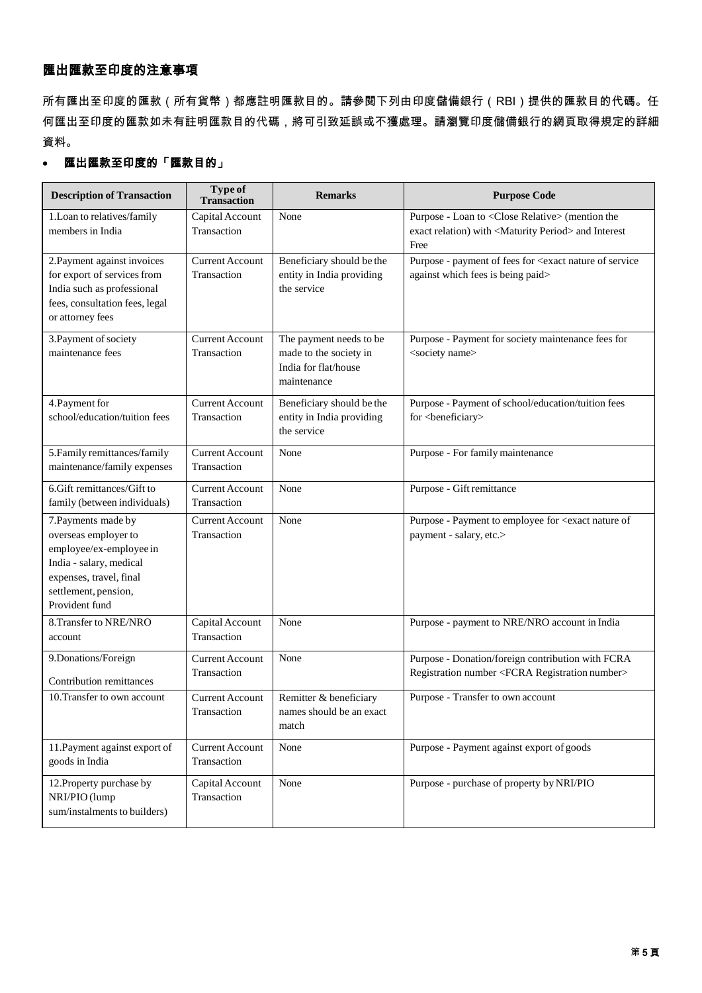## 匯出匯款至印度的注意事項

所有匯出至印度的匯款(所有貨幣)都應註明匯款目的。請參閱下列由印度儲備銀行(RBI)提供的匯款目的代碼。任 何匯出至印度的匯款如未有註明匯款目的代碼,將可引致延誤或不獲處理。請瀏覽印度儲備銀行的網頁取得規定的詳細 資料。

## 匯出匯款至印度的「匯款目的」

| <b>Description of Transaction</b>                                                                                                                                      | Type of<br><b>Transaction</b>         | <b>Remarks</b>                                                                           | <b>Purpose Code</b>                                                                                                                       |
|------------------------------------------------------------------------------------------------------------------------------------------------------------------------|---------------------------------------|------------------------------------------------------------------------------------------|-------------------------------------------------------------------------------------------------------------------------------------------|
| 1. Loan to relatives/family<br>members in India                                                                                                                        | Capital Account<br>Transaction        | None                                                                                     | Purpose - Loan to <close relative=""> (mention the<br/>exact relation) with <maturity period=""> and Interest<br/>Free</maturity></close> |
| 2. Payment against invoices<br>for export of services from<br>India such as professional<br>fees, consultation fees, legal<br>or attorney fees                         | <b>Current Account</b><br>Transaction | Beneficiary should be the<br>entity in India providing<br>the service                    | Purpose - payment of fees for <exact nature="" of="" service<br="">against which fees is being paid&gt;</exact>                           |
| 3. Payment of society<br>maintenance fees                                                                                                                              | <b>Current Account</b><br>Transaction | The payment needs to be<br>made to the society in<br>India for flat/house<br>maintenance | Purpose - Payment for society maintenance fees for<br><society name=""></society>                                                         |
| 4. Payment for<br>school/education/tuition fees                                                                                                                        | <b>Current Account</b><br>Transaction | Beneficiary should be the<br>entity in India providing<br>the service                    | Purpose - Payment of school/education/tuition fees<br>for <beneficiary></beneficiary>                                                     |
| 5. Family remittances/family<br>maintenance/family expenses                                                                                                            | <b>Current Account</b><br>Transaction | None                                                                                     | Purpose - For family maintenance                                                                                                          |
| 6.Gift remittances/Gift to<br>family (between individuals)                                                                                                             | <b>Current Account</b><br>Transaction | None                                                                                     | Purpose - Gift remittance                                                                                                                 |
| 7. Payments made by<br>overseas employer to<br>employee/ex-employee in<br>India - salary, medical<br>expenses, travel, final<br>settlement, pension,<br>Provident fund | <b>Current Account</b><br>Transaction | None                                                                                     | Purpose - Payment to employee for <exact nature="" of<br="">payment - salary, etc.&gt;</exact>                                            |
| 8. Transfer to NRE/NRO<br>account                                                                                                                                      | Capital Account<br>Transaction        | None                                                                                     | Purpose - payment to NRE/NRO account in India                                                                                             |
| 9.Donations/Foreign<br>Contribution remittances                                                                                                                        | <b>Current Account</b><br>Transaction | None                                                                                     | Purpose - Donation/foreign contribution with FCRA<br>Registration number <fcra number="" registration=""></fcra>                          |
| 10. Transfer to own account                                                                                                                                            | <b>Current Account</b><br>Transaction | Remitter & beneficiary<br>names should be an exact<br>match                              | Purpose - Transfer to own account                                                                                                         |
| 11. Payment against export of<br>goods in India                                                                                                                        | <b>Current Account</b><br>Transaction | None                                                                                     | Purpose - Payment against export of goods                                                                                                 |
| 12. Property purchase by<br>NRI/PIO (lump<br>sum/instalments to builders)                                                                                              | Capital Account<br>Transaction        | None                                                                                     | Purpose - purchase of property by NRI/PIO                                                                                                 |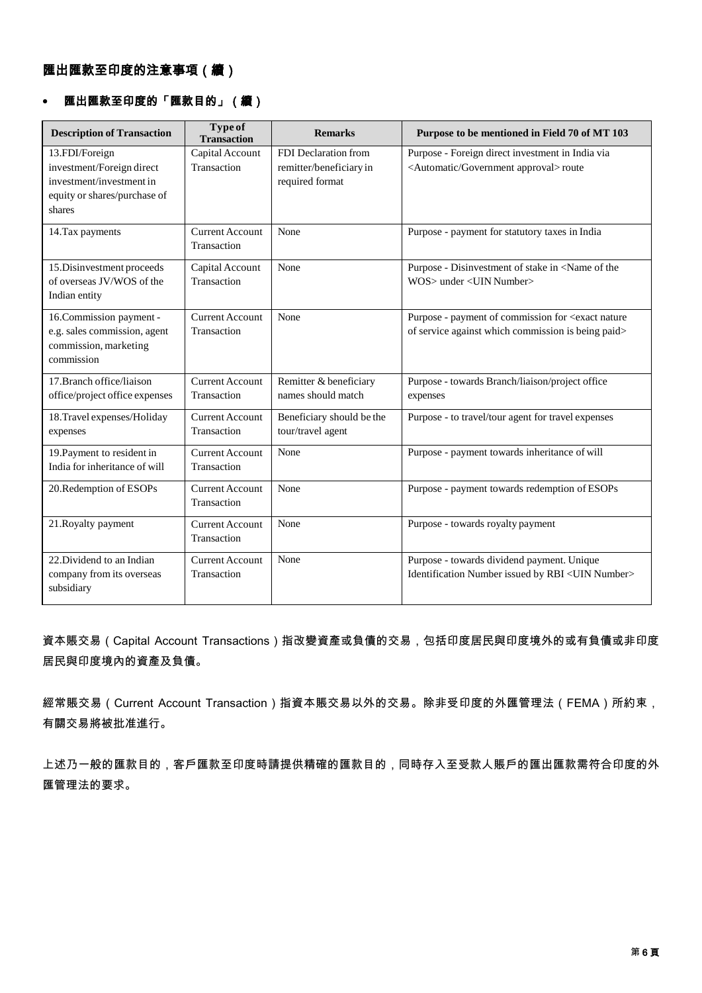# 匯出匯款至印度的「匯款目的」(續)

| <b>Description of Transaction</b>                                                                                 | Type of<br><b>Transaction</b>         | <b>Remarks</b>                                                     | Purpose to be mentioned in Field 70 of MT 103                                                                         |
|-------------------------------------------------------------------------------------------------------------------|---------------------------------------|--------------------------------------------------------------------|-----------------------------------------------------------------------------------------------------------------------|
| 13.FDI/Foreign<br>investment/Foreign direct<br>investment/investment in<br>equity or shares/purchase of<br>shares | Capital Account<br>Transaction        | FDI Declaration from<br>remitter/beneficiary in<br>required format | Purpose - Foreign direct investment in India via<br><automatic approval="" government=""> route</automatic>           |
| 14. Tax payments                                                                                                  | <b>Current Account</b><br>Transaction | None                                                               | Purpose - payment for statutory taxes in India                                                                        |
| 15. Disinvestment proceeds<br>of overseas JV/WOS of the<br>Indian entity                                          | Capital Account<br>Transaction        | None                                                               | Purpose - Disinvestment of stake in <name of="" the<br="">WOS&gt; under <uin number=""></uin></name>                  |
| 16. Commission payment -<br>e.g. sales commission, agent<br>commission, marketing<br>commission                   | <b>Current Account</b><br>Transaction | None                                                               | Purpose - payment of commission for <exact nature<br="">of service against which commission is being paid&gt;</exact> |
| 17. Branch office/liaison<br>office/project office expenses                                                       | <b>Current Account</b><br>Transaction | Remitter & beneficiary<br>names should match                       | Purpose - towards Branch/liaison/project office<br>expenses                                                           |
| 18. Travel expenses/Holiday<br>expenses                                                                           | <b>Current Account</b><br>Transaction | Beneficiary should be the<br>tour/travel agent                     | Purpose - to travel/tour agent for travel expenses                                                                    |
| 19. Payment to resident in<br>India for inheritance of will                                                       | <b>Current Account</b><br>Transaction | None                                                               | Purpose - payment towards inheritance of will                                                                         |
| 20. Redemption of ESOPs                                                                                           | <b>Current Account</b><br>Transaction | None                                                               | Purpose - payment towards redemption of ESOPs                                                                         |
| 21. Royalty payment                                                                                               | <b>Current Account</b><br>Transaction | None                                                               | Purpose - towards royalty payment                                                                                     |
| 22. Dividend to an Indian<br>company from its overseas<br>subsidiary                                              | <b>Current Account</b><br>Transaction | None                                                               | Purpose - towards dividend payment. Unique<br>Identification Number issued by RBI <uin number=""></uin>               |

資本賬交易(Capital Account Transactions)指改變資產或負債的交易,包括印度居民與印度境外的或有負債或非印度 居民與印度境內的資產及負債。

經常賬交易(Current Account Transaction)指資本賬交易以外的交易。除非受印度的外匯管理法(FEMA)所約束, 有關交易將被批准進行。

上述乃一般的匯款目的,客戶匯款至印度時請提供精確的匯款目的,同時存入至受款人賬戶的匯出匯款需符合印度的外 匯管理法的要求。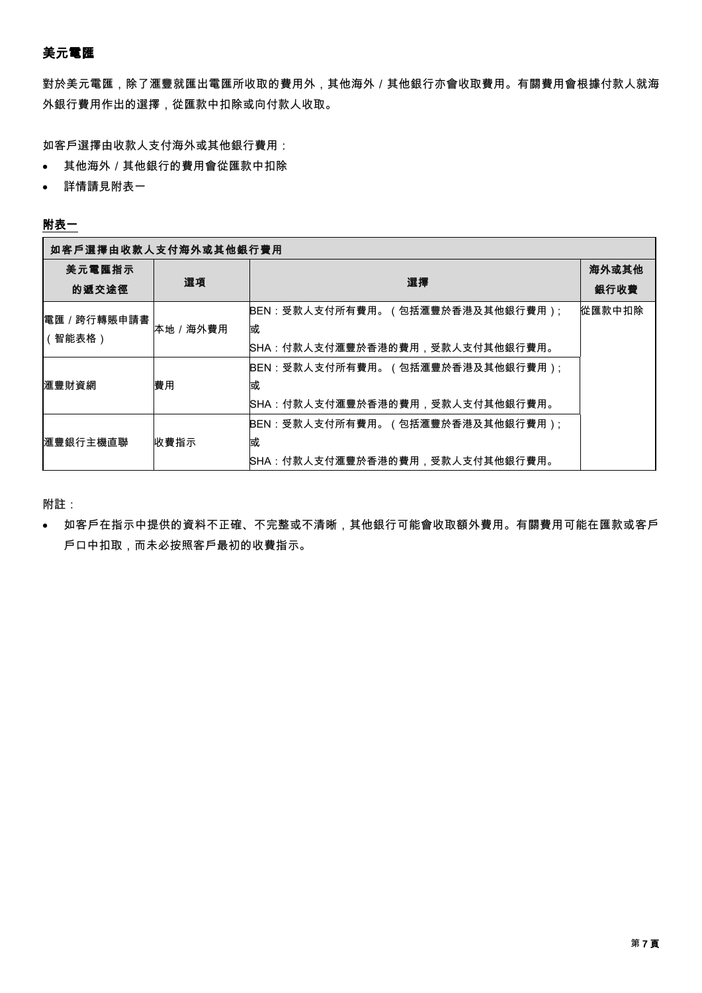## 美元電匯

對於美元電匯,除了滙豐就匯出電匯所收取的費用外,其他海外/其他銀行亦會收取費用。有關費用會根據付款人就海 外銀行費用作出的選擇,從匯款中扣除或向付款人收取。

如客戶選擇由收款人支付海外或其他銀行費用:

- 其他海外/其他銀行的費用會從匯款中扣除
- 詳情請見附表一

#### 附表一

| 如客戶選擇由收款人支付海外或其他銀行費用  |           |                                 |        |
|-----------------------|-----------|---------------------------------|--------|
| 美元電匯指示                |           |                                 | 海外或其他  |
| 的遞交途徑                 | 選項        | 選擇                              | 銀行收費   |
| 電匯/跨行轉賬申請書 <br>(智能表格) | 本地 / 海外費用 | BEN:受款人支付所有費用。(包括滙豐於香港及其他銀行費用); | 從匯款中扣除 |
|                       |           | 或                               |        |
|                       |           | SHA:付款人支付滙豐於香港的費用,受款人支付其他銀行費用。  |        |
| 滙豐財資網                 | 費用        | BEN:受款人支付所有費用。(包括滙豐於香港及其他銀行費用); |        |
|                       |           | 或                               |        |
|                       |           | SHA:付款人支付滙豐於香港的費用,受款人支付其他銀行費用。  |        |
| 滙豐銀行主機直聯              | 收費指示      | BEN:受款人支付所有費用。(包括滙豐於香港及其他銀行費用); |        |
|                       |           | 或                               |        |
|                       |           | SHA:付款人支付滙豐於香港的費用,受款人支付其他銀行費用。  |        |

附註:

 如客戶在指示中提供的資料不正確、不完整或不清晰,其他銀行可能會收取額外費用。有關費用可能在匯款或客戶 戶口中扣取,而未必按照客戶最初的收費指示。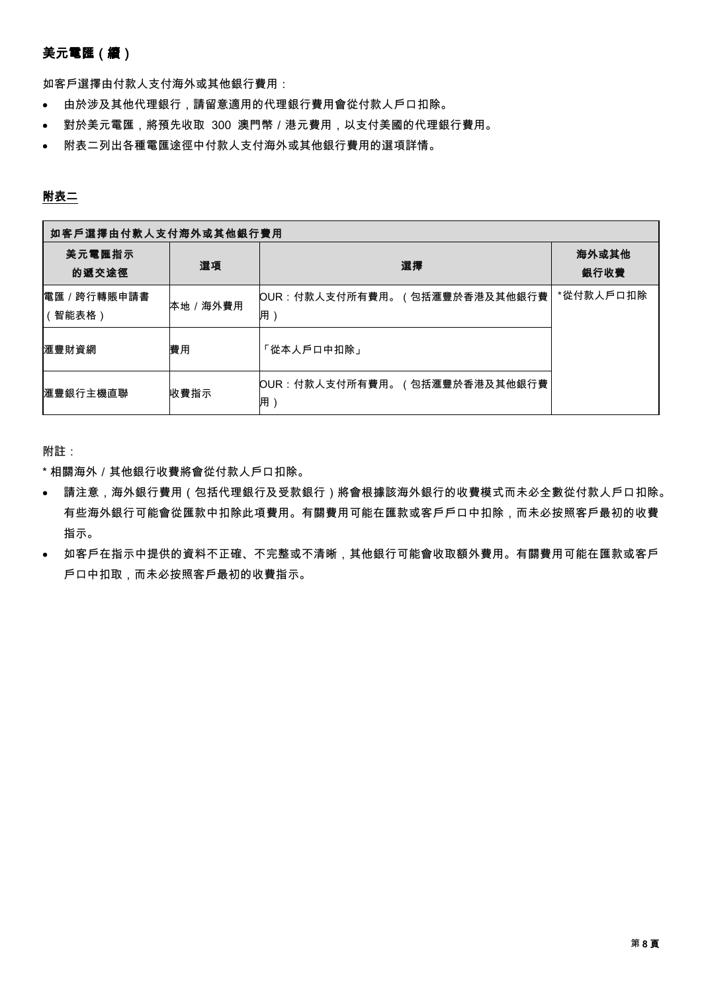# 美元電匯(續)

如客戶選擇由付款人支付海外或其他銀行費用:

- 由於涉及其他代理銀行,請留意適用的代理銀行費用會從付款人戶口扣除。
- 對於美元電匯,將預先收取 300 澳門幣/港元費用,以支付美國的代理銀行費用。
- 附表二列出各種電匯途徑中付款人支付海外或其他銀行費用的選項詳情。

#### 附表二

| 如客戶選擇由付款人支付海外或其他銀行費用 |         |                                    |               |
|----------------------|---------|------------------------------------|---------------|
| 美元電匯指示<br>的遞交途徑      | 選項      | 選擇                                 | 海外或其他<br>銀行收費 |
| 電匯/跨行轉賬申請書 <br>智能表格) | 本地/海外費用 | OUR:付款人支付所有費用。(包括滙豐於香港及其他銀行費<br>用) | *從付款人戶口扣除     |
| 滙豐財資網                | 費用      | 「從本人戶口中扣除」                         |               |
| 滙豐銀行主機直聯             | 收費指示    | OUR:付款人支付所有費用。(包括滙豐於香港及其他銀行費<br>用  |               |

附註:

\* 相關海外/其他銀行收費將會從付款人戶口扣除。

- 請注意,海外銀行費用(包括代理銀行及受款銀行)將會根據該海外銀行的收費模式而未必全數從付款人戶口扣除。 有些海外銀行可能會從匯款中扣除此項費用。有關費用可能在匯款或客戶戶口中扣除,而未必按照客戶最初的收費 指示。
- 如客戶在指示中提供的資料不正確、不完整或不清晰,其他銀行可能會收取額外費用。有關費用可能在匯款或客戶 戶口中扣取,而未必按照客戶最初的收費指示。